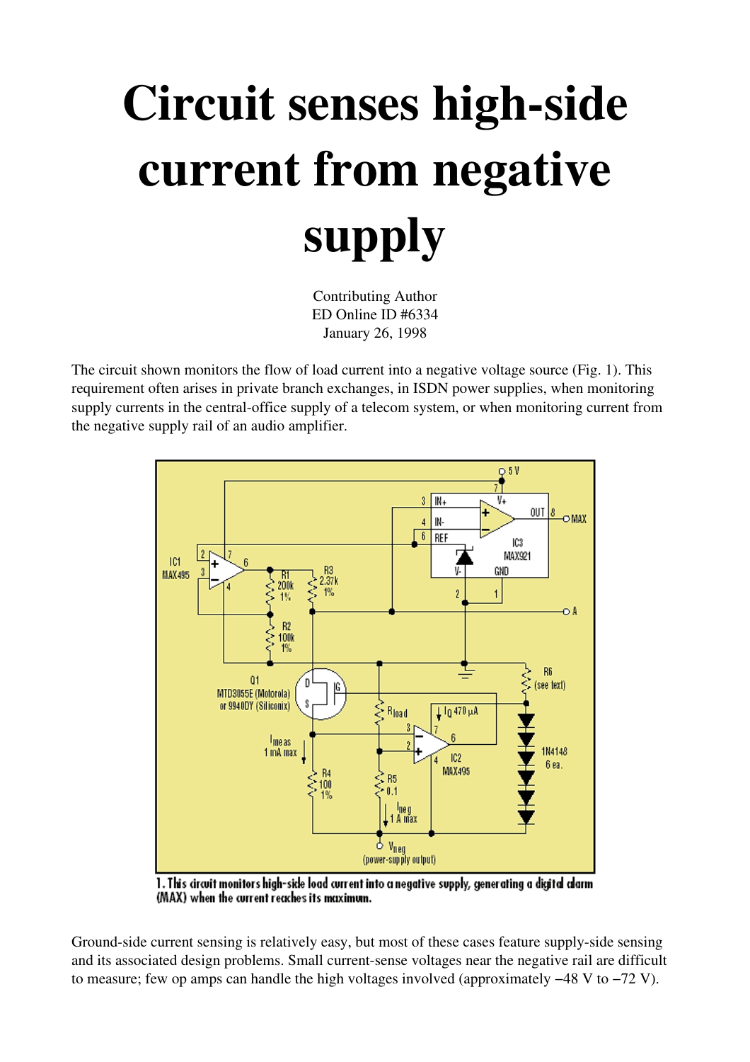## Circuit senses high-side current from negative supply

Contributing Author ED Online ID #6334 January 26, 1998

The circuit shown monitors the flow of load current into a negative voltage source (Fig. 1). This requirement often arises in private branch exchanges, in ISDN power supplies, when monitoring supply currents in the central-office supply of a telecom system, or when monitoring current from the negative supply rail of an audio amplifier.



1. This circuit monitors high-side load current into a negative supply, generating a digital alarm (MAX) when the current reaches its maximum.

Ground-side current sensing is relatively easy, but most of these cases feature supply-side sensing and its associated design problems. Small current-sense voltages near the negative rail are difficult to measure; few op amps can handle the high voltages involved (approximately −48 V to −72 V).